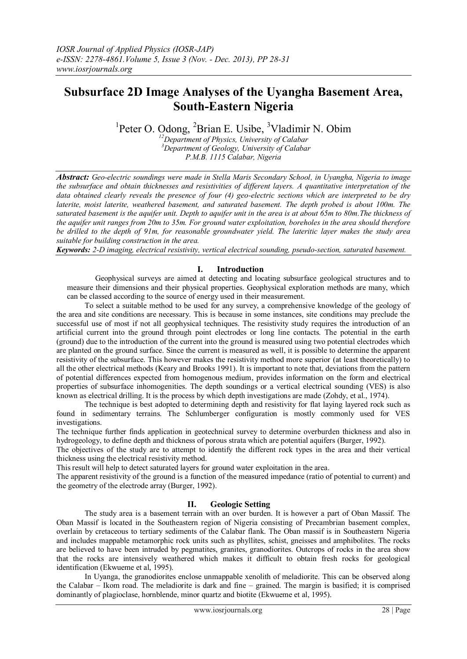# **Subsurface 2D Image Analyses of the Uyangha Basement Area, South-Eastern Nigeria**

<sup>1</sup>Peter O. Odong, <sup>2</sup>Brian E. Usibe, <sup>3</sup>Vladimir N. Obim<br><sup>12</sup>*Department of Physics, University of Calabar* 

*<sup>3</sup>Department of Geology, University of Calabar P.M.B. 1115 Calabar, Nigeria* 

*Abstract: Geo-electric soundings were made in Stella Maris Secondary School, in Uyangha, Nigeria to image the subsurface and obtain thicknesses and resistivities of different layers. A quantitative interpretation of the data obtained clearly reveals the presence of four (4) geo-electric sections which are interpreted to be dry laterite, moist laterite, weathered basement, and saturated basement. The depth probed is about 100m. The saturated basement is the aquifer unit. Depth to aquifer unit in the area is at about 65m to 80m.The thickness of the aquifer unit ranges from 20m to 35m. For ground water exploitation, boreholes in the area should therefore be drilled to the depth of 91m, for reasonable groundwater yield. The lateritic layer makes the study area suitable for building construction in the area.*

*Keywords: 2-D imaging, electrical resistivity, vertical electrical sounding, pseudo-section, saturated basement.*

## **I. Introduction**

Geophysical surveys are aimed at detecting and locating subsurface geological structures and to measure their dimensions and their physical properties. Geophysical exploration methods are many, which can be classed according to the source of energy used in their measurement.

To select a suitable method to be used for any survey, a comprehensive knowledge of the geology of the area and site conditions are necessary. This is because in some instances, site conditions may preclude the successful use of most if not all geophysical techniques. The resistivity study requires the introduction of an artificial current into the ground through point electrodes or long line contacts. The potential in the earth (ground) due to the introduction of the current into the ground is measured using two potential electrodes which are planted on the ground surface. Since the current is measured as well, it is possible to determine the apparent resistivity of the subsurface. This however makes the resistivity method more superior (at least theoretically) to all the other electrical methods (Keary and Brooks 1991). It is important to note that, deviations from the pattern of potential differences expected from homogenous medium, provides information on the form and electrical properties of subsurface inhomogenities. The depth soundings or a vertical electrical sounding (VES) is also known as electrical drilling. It is the process by which depth investigations are made (Zohdy, et al., 1974).

The technique is best adopted to determining depth and resistivity for flat laying layered rock such as found in sedimentary terrains. The Schlumberger configuration is mostly commonly used for VES investigations.

The technique further finds application in geotechnical survey to determine overburden thickness and also in hydrogeology, to define depth and thickness of porous strata which are potential aquifers (Burger, 1992).

The objectives of the study are to attempt to identify the different rock types in the area and their vertical thickness using the electrical resistivity method.

This result will help to detect saturated layers for ground water exploitation in the area.

The apparent resistivity of the ground is a function of the measured impedance (ratio of potential to current) and the geometry of the electrode array (Burger, 1992).

### **II. Geologic Setting**

The study area is a basement terrain with an over burden. It is however a part of Oban Massif. The Oban Massif is located in the Southeastern region of Nigeria consisting of Precambrian basement complex, overlain by cretaceous to tertiary sediments of the Calabar flank. The Oban massif is in Southeastern Nigeria and includes mappable metamorphic rock units such as phyllites, schist, gneisses and amphibolites. The rocks are believed to have been intruded by pegmatites, granites, granodiorites. Outcrops of rocks in the area show that the rocks are intensively weathered which makes it difficult to obtain fresh rocks for geological identification (Ekwueme et al, 1995).

In Uyanga, the granodiorites enclose unmappable xenolith of meladiorite. This can be observed along the Calabar – Ikom road. The meladiorite is dark and fine – grained. The margin is basified; it is comprised dominantly of plagioclase, hornblende, minor quartz and biotite (Ekwueme et al, 1995).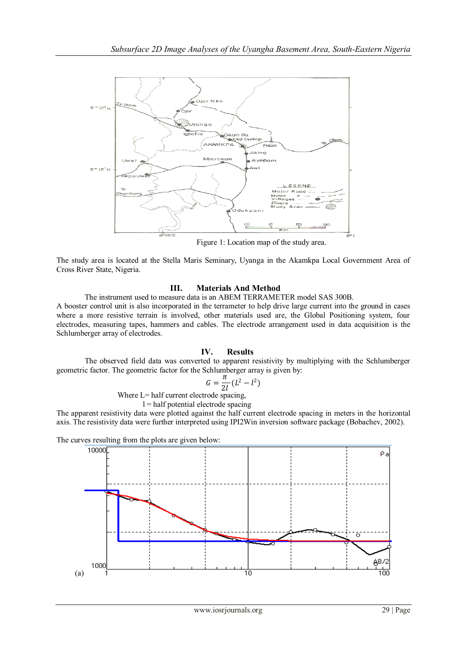

Figure 1: Location map of the study area.

The study area is located at the Stella Maris Seminary, Uyanga in the Akamkpa Local Government Area of Cross River State, Nigeria.

### **III. Materials And Method**

The instrument used to measure data is an ABEM TERRAMETER model SAS 300B.

A booster control unit is also incorporated in the terrameter to help drive large current into the ground in cases where a more resistive terrain is involved, other materials used are, the Global Positioning system, four electrodes, measuring tapes, hammers and cables. The electrode arrangement used in data acquisition is the Schlumberger array of electrodes.

### **IV. Results**

The observed field data was converted to apparent resistivity by multiplying with the Schlumberger geometric factor. The geometric factor for the Schlumberger array is given by:

$$
G=\frac{\pi}{2l}(L^2-l^2)
$$

Where L= half current electrode spacing,  $l =$  half potential electrode spacing

The apparent resistivity data were plotted against the half current electrode spacing in meters in the horizontal axis. The resistivity data were further interpreted using IPI2Win inversion software package (Bobachev, 2002).



The curves resulting from the plots are given below: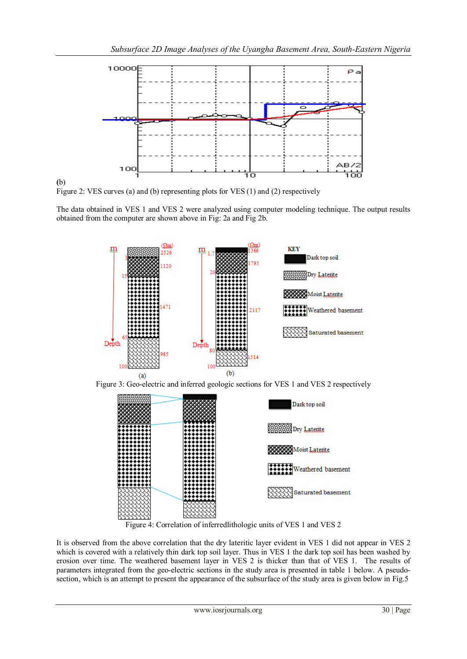



The data obtained in VES 1 and VES 2 were analyzed using computer modeling technique. The output results obtained from the computer are shown above in Fig: 2a and Fig 2b.



Figure 3: Geo-electric and inferred geologic sections for VES 1 and VES 2 respectively



Figure 4: Correlation of inferredlithologic units of VES 1 and VES 2

It is observed from the above correlation that the dry lateritic layer evident in VES 1 did not appear in VES 2 which is covered with a relatively thin dark top soil layer. Thus in VES 1 the dark top soil has been washed by erosion over time. The weathered basement layer in VES 2 is thicker than that of VES 1. The results of parameters integrated from the geo-electric sections in the study area is presented in table 1 below. A pseudosection, which is an attempt to present the appearance of the subsurface of the study area is given below in Fig.5